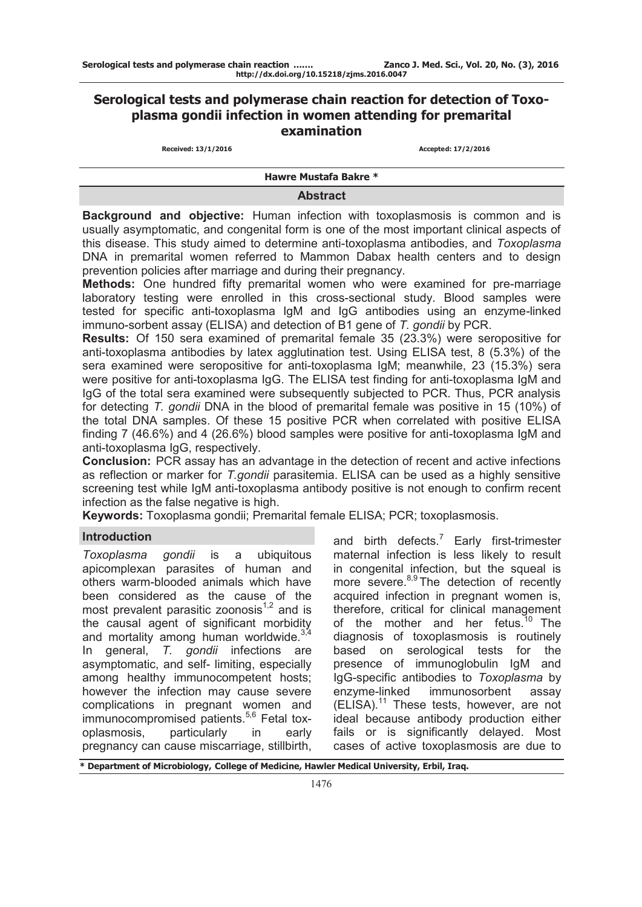# **Serological tests and polymerase chain reaction for detection of Toxoplasma gondii infection in women attending for premarital examination**

**Received: 13/1/2016 Accepted: 17/2/2016** 

**Hawre Mustafa Bakre \***

#### **Abstract**

**Background and objective:** Human infection with toxoplasmosis is common and is usually asymptomatic, and congenital form is one of the most important clinical aspects of this disease. This study aimed to determine anti-toxoplasma antibodies, and *Toxoplasma* DNA in premarital women referred to Mammon Dabax health centers and to design prevention policies after marriage and during their pregnancy.

**Methods:** One hundred fifty premarital women who were examined for pre-marriage laboratory testing were enrolled in this cross-sectional study. Blood samples were tested for specific anti-toxoplasma IgM and IgG antibodies using an enzyme-linked immuno-sorbent assay (ELISA) and detection of B1 gene of *T. gondii* by PCR.

**Results:** Of 150 sera examined of premarital female 35 (23.3%) were seropositive for anti-toxoplasma antibodies by latex agglutination test. Using ELISA test, 8 (5.3%) of the sera examined were seropositive for anti-toxoplasma IgM; meanwhile, 23 (15.3%) sera were positive for anti-toxoplasma IgG. The ELISA test finding for anti-toxoplasma IgM and IgG of the total sera examined were subsequently subjected to PCR. Thus, PCR analysis for detecting *T. gondii* DNA in the blood of premarital female was positive in 15 (10%) of the total DNA samples. Of these 15 positive PCR when correlated with positive ELISA finding 7 (46.6%) and 4 (26.6%) blood samples were positive for anti-toxoplasma IgM and anti-toxoplasma IgG, respectively.

**Conclusion:** PCR assay has an advantage in the detection of recent and active infections as reflection or marker for *T.gondii* parasitemia. ELISA can be used as a highly sensitive screening test while IgM anti-toxoplasma antibody positive is not enough to confirm recent infection as the false negative is high.

**Keywords:** Toxoplasma gondii; Premarital female ELISA; PCR; toxoplasmosis.

#### **Introduction**

*Toxoplasma gondii* is a ubiquitous apicomplexan parasites of human and others warm-blooded animals which have been considered as the cause of the most prevalent parasitic zoonosis $1,2$  and is the causal agent of significant morbidity and mortality among human worldwide.<sup>3,4</sup> In general, *T. gondii* infections are asymptomatic, and self- limiting, especially among healthy immunocompetent hosts; however the infection may cause severe complications in pregnant women and immunocompromised patients.<sup>5,6</sup> Fetal toxoplasmosis, particularly in early pregnancy can cause miscarriage, stillbirth,

and birth defects.<sup>7</sup> Early first-trimester maternal infection is less likely to result in congenital infection, but the squeal is more severe.<sup>8,9</sup> The detection of recently acquired infection in pregnant women is, therefore, critical for clinical management of the mother and her fetus.<sup>10</sup> The diagnosis of toxoplasmosis is routinely based on serological tests for the presence of immunoglobulin IgM and IgG-specific antibodies to *Toxoplasma* by enzyme-linked immunosorbent assay (ELISA).<sup>11</sup> These tests, however, are not ideal because antibody production either fails or is significantly delayed. Most cases of active toxoplasmosis are due to

**\* Department of Microbiology, College of Medicine, Hawler Medical University, Erbil, Iraq.**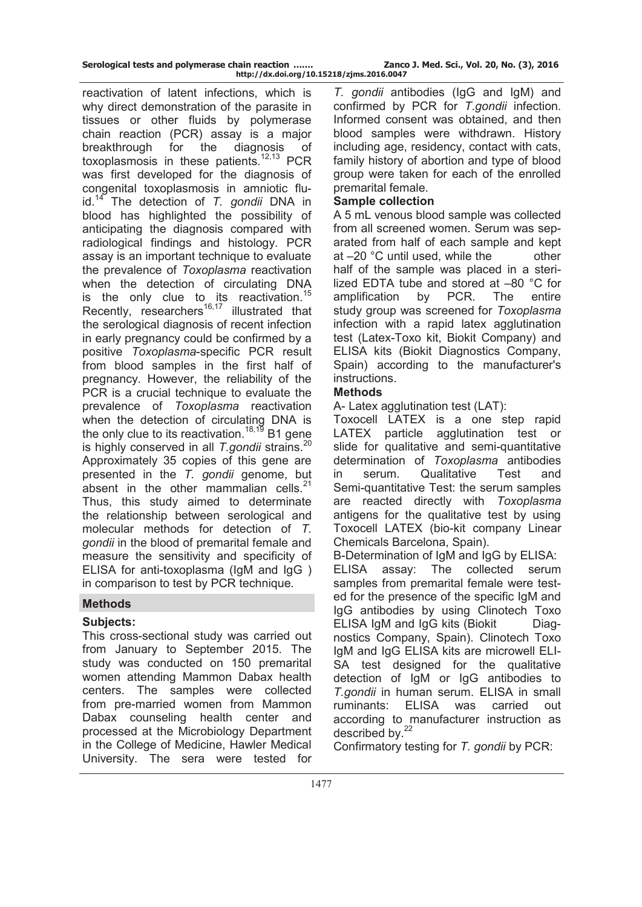| Serological tests and polymerase chain reaction | Zanco J. Med. Sci., Vol. 20, No. (3), 2016 |
|-------------------------------------------------|--------------------------------------------|
| http://dx.doi.org/10.15218/zjms.2016.0047       |                                            |

reactivation of latent infections, which is why direct demonstration of the parasite in tissues or other fluids by polymerase chain reaction (PCR) assay is a major breakthrough for the diagnosis of toxoplasmosis in these patients. $12,13$  PCR was first developed for the diagnosis of congenital toxoplasmosis in amniotic fluid.<sup>14</sup> The detection of *T. gondii* DNA in blood has highlighted the possibility of anticipating the diagnosis compared with radiological findings and histology. PCR assay is an important technique to evaluate the prevalence of *Toxoplasma* reactivation when the detection of circulating DNA is the only clue to its reactivation.<sup>15</sup> Recently, researchers $16,17$  illustrated that the serological diagnosis of recent infection in early pregnancy could be confirmed by a positive *Toxoplasma*-specific PCR result from blood samples in the first half of pregnancy. However, the reliability of the PCR is a crucial technique to evaluate the prevalence of *Toxoplasma* reactivation when the detection of circulating DNA is the only clue to its reactivation.<sup>18,19</sup> B1 gene is highly conserved in all *T.gondii* strains.<sup>20</sup> Approximately 35 copies of this gene are presented in the *T. gondii* genome, but absent in the other mammalian cells. $21$ Thus, this study aimed to determinate the relationship between serological and molecular methods for detection of *T. gondii* in the blood of premarital female and measure the sensitivity and specificity of ELISA for anti-toxoplasma (IgM and IgG ) in comparison to test by PCR technique.

#### **Methods**

## **Subjects:**

This cross-sectional study was carried out from January to September 2015. The study was conducted on 150 premarital women attending Mammon Dabax health centers. The samples were collected from pre-married women from Mammon Dabax counseling health center and processed at the Microbiology Department in the College of Medicine, Hawler Medical University. The sera were tested for

*T. gondii* antibodies (IgG and IgM) and confirmed by PCR for *T.gondii* infection. Informed consent was obtained, and then blood samples were withdrawn. History including age, residency, contact with cats, family history of abortion and type of blood group were taken for each of the enrolled premarital female.

#### **Sample collection**

A 5 mL venous blood sample was collected from all screened women. Serum was separated from half of each sample and kept at –20 °C until used, while the other half of the sample was placed in a sterilized EDTA tube and stored at –80 °C for amplification by PCR. The entire study group was screened for *Toxoplasma* infection with a rapid latex agglutination test (Latex-Toxo kit, Biokit Company) and ELISA kits (Biokit Diagnostics Company, Spain) according to the manufacturer's instructions.

#### **Methods**

A- Latex agglutination test (LAT):

Toxocell LATEX is a one step rapid LATEX particle agglutination test or slide for qualitative and semi-quantitative determination of *Toxoplasma* antibodies in serum. Qualitative Test and Semi-quantitative Test: the serum samples are reacted directly with *Toxoplasma* antigens for the qualitative test by using Toxocell LATEX (bio-kit company Linear Chemicals Barcelona, Spain).

B-Determination of IgM and IgG by ELISA: ELISA assay: The collected serum samples from premarital female were tested for the presence of the specific IgM and IgG antibodies by using Clinotech Toxo ELISA IgM and IgG kits (Biokit Diagnostics Company, Spain). Clinotech Toxo IgM and IgG ELISA kits are microwell ELI-SA test designed for the qualitative detection of IgM or IgG antibodies to *T.gondii* in human serum. ELISA in small ruminants: ELISA was carried out according to manufacturer instruction as described by.<sup>22</sup>

Confirmatory testing for *T. gondii* by PCR: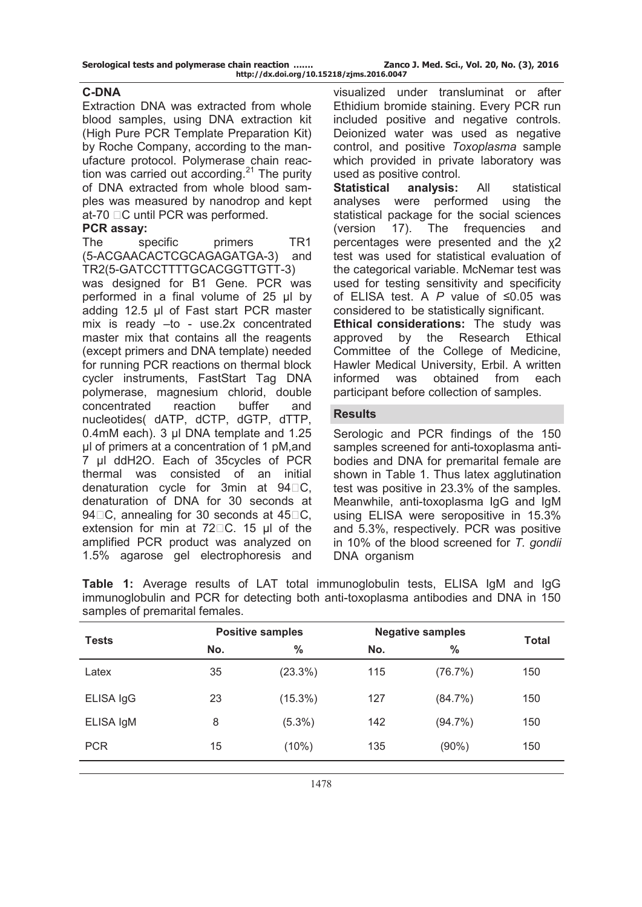# **C-DNA**

Extraction DNA was extracted from whole blood samples, using DNA extraction kit (High Pure PCR Template Preparation Kit) by Roche Company, according to the manufacture protocol. Polymerase chain reaction was carried out according. $21$  The purity of DNA extracted from whole blood samples was measured by nanodrop and kept at-70  $\Box$ C until PCR was performed.

# **PCR assay:**

The specific primers TR1 (5-ACGAACACTCGCAGAGATGA-3) and TR2(5-GATCCTTTTGCACGGTTGTT-3)

was designed for B1 Gene. PCR was performed in a final volume of 25 μl by adding 12.5 μl of Fast start PCR master mix is ready –to - use.2x concentrated master mix that contains all the reagents (except primers and DNA template) needed for running PCR reactions on thermal block cycler instruments, FastStart Tag DNA polymerase, magnesium chlorid, double concentrated reaction buffer and nucleotides( dATP, dCTP, dGTP, dTTP, 0.4mM each). 3 μl DNA template and 1.25 μl of primers at a concentration of 1 pM,and 7 μl ddH2O. Each of 35cycles of PCR thermal was consisted of an initial denaturation cycle for 3min at  $94\square C$ , denaturation of DNA for 30 seconds at 94 $\Box$ C, annealing for 30 seconds at 45 $\Box$ C, extension for min at  $72\square$ C. 15 μl of the amplified PCR product was analyzed on 1.5% agarose gel electrophoresis and

visualized under transluminat or after Ethidium bromide staining. Every PCR run included positive and negative controls. Deionized water was used as negative control, and positive *Toxoplasma* sample which provided in private laboratory was used as positive control.

**Statistical analysis:** All statistical analyses were performed using the statistical package for the social sciences (version 17). The frequencies and percentages were presented and the χ2 test was used for statistical evaluation of the categorical variable. McNemar test was used for testing sensitivity and specificity of ELISA test. A *P* value of ≤0.05 was considered to be statistically significant.

**Ethical considerations:** The study was approved by the Research Ethical Committee of the College of Medicine, Hawler Medical University, Erbil. A written informed was obtained from each participant before collection of samples.

# **Results**

Serologic and PCR findings of the 150 samples screened for anti-toxoplasma antibodies and DNA for premarital female are shown in Table 1. Thus latex agglutination test was positive in 23.3% of the samples. Meanwhile, anti-toxoplasma IgG and IgM using ELISA were seropositive in 15.3% and 5.3%, respectively. PCR was positive in 10% of the blood screened for *T. gondii* DNA organism

**Table 1:** Average results of LAT total immunoglobulin tests, ELISA IgM and IgG immunoglobulin and PCR for detecting both anti-toxoplasma antibodies and DNA in 150 samples of premarital females.

| <b>Tests</b> |     | <b>Positive samples</b> | <b>Negative samples</b> |            |              |
|--------------|-----|-------------------------|-------------------------|------------|--------------|
|              | No. | $\frac{0}{0}$           | No.                     | $\%$       | <b>Total</b> |
| Latex        | 35  | $(23.3\%)$              | 115                     | (76.7%)    | 150          |
| ELISA IgG    | 23  | $(15.3\%)$              | 127                     | $(84.7\%)$ | 150          |
| ELISA IgM    | 8   | $(5.3\%)$               | 142                     | $(94.7\%)$ | 150          |
| <b>PCR</b>   | 15  | $(10\%)$                | 135                     | $(90\%)$   | 150          |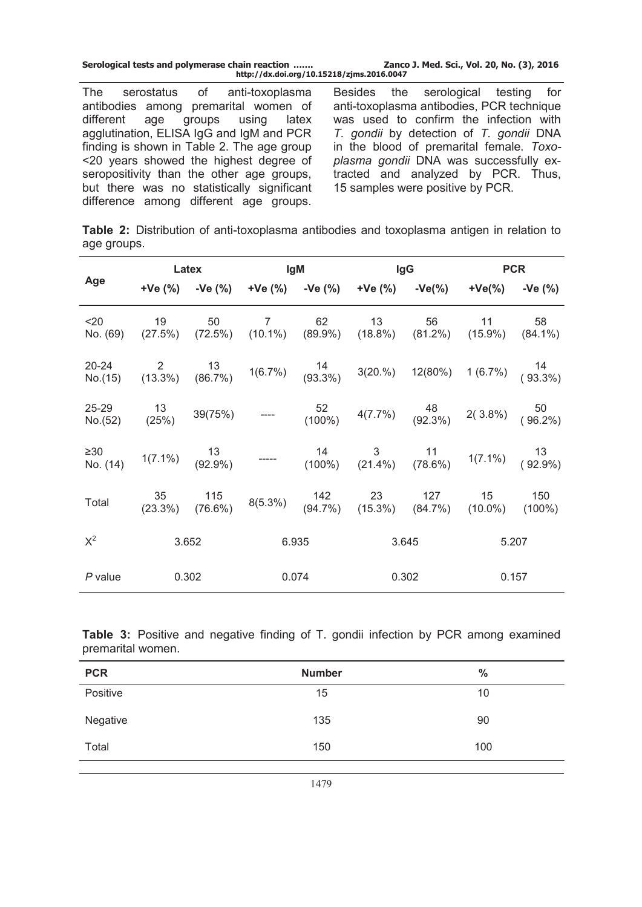| Serological tests and polymerase chain reaction | Zanco J. Med. Sci., Vol. 20, No. (3), 2016 |
|-------------------------------------------------|--------------------------------------------|
| http://dx.doi.org/10.15218/zjms.2016.0047       |                                            |

The serostatus of anti-toxoplasma antibodies among premarital women of<br>different age groups using latex age groups agglutination, ELISA IgG and IgM and PCR finding is shown in Table 2. The age group <20 years showed the highest degree of seropositivity than the other age groups, but there was no statistically significant difference among different age groups.

Besides the serological testing for anti-toxoplasma antibodies, PCR technique was used to confirm the infection with *T. gondii* by detection of *T. gondii* DNA in the blood of premarital female. *Toxoplasma gondii* DNA was successfully extracted and analyzed by PCR. Thus, 15 samples were positive by PCR.

**Table 2:** Distribution of anti-toxoplasma antibodies and toxoplasma antigen in relation to age groups.

|                  | Latex |       | lgM            |       | lgG |                                                                                                                                              | <b>PCR</b> |       |
|------------------|-------|-------|----------------|-------|-----|----------------------------------------------------------------------------------------------------------------------------------------------|------------|-------|
| Age              |       |       |                |       |     | $+Ve(%)$ $-Ve(%)$ $+Ve(%)$ $-Ve(%)$ $+Ve(%)$ $+Ve(%)$ $-Ve(%)$ $+Ve(%)$ $+Ve(%)$ $-Ve(%)$                                                    |            |       |
| $20$             | 19    | 50    | $\overline{7}$ | 62    | 13  | 56<br>No. (69) (27.5%) (72.5%) (10.1%) (89.9%) (18.8%) (81.2%) (15.9%) (84.1%)                                                               | 11         | 58    |
|                  |       |       |                |       |     | 20-24 2 13 16.7% 14 3(20.%) 12(80%) 1 (6.7%) $(93.3\%)$ 13 14 (6.7%) $(93.3\%)$                                                              |            |       |
| 25-29<br>No.(52) |       |       |                |       |     | 13   39(75%)   ----    52    4(7.7%) <sup>48</sup> 2( 3.8%)   50<br>(25%)   39(75%)   ----   (100%)   4(7.7%)   (92.3%)   2( 3.8%)   (96.2%) |            |       |
| ≥30<br>No. (14)  |       |       |                |       |     | $1(7.1\%)$ $13$ ----- $14$ 3 $11$ $1(7.1\%)$ $13$ $13$ $12$ $12.9\%)$ $(100\%)$ $(21.4\%)$ $(78.6\%)$ $1(7.1\%)$ $(92.9\%)$                  |            |       |
| Total            |       |       |                |       |     | 35 115 8(5.3%) 142 23 127 15 150<br>(23.3%) (76.6%) 8(5.3%) (94.7%) (15.3%) (84.7%) (10.0%) (100%)                                           |            |       |
| $X^2$            |       | 3.652 |                | 6.935 |     | 3.645                                                                                                                                        |            | 5.207 |
| P value          |       | 0.302 |                | 0.074 |     | 0.302                                                                                                                                        |            | 0.157 |

**Table 3:** Positive and negative finding of T. gondii infection by PCR among examined premarital women.

| <b>PCR</b> | <b>Number</b> | $\frac{0}{0}$ |
|------------|---------------|---------------|
| Positive   | 15            | 10            |
| Negative   | 135           | 90            |
| Total      | 150           | 100           |
|            |               |               |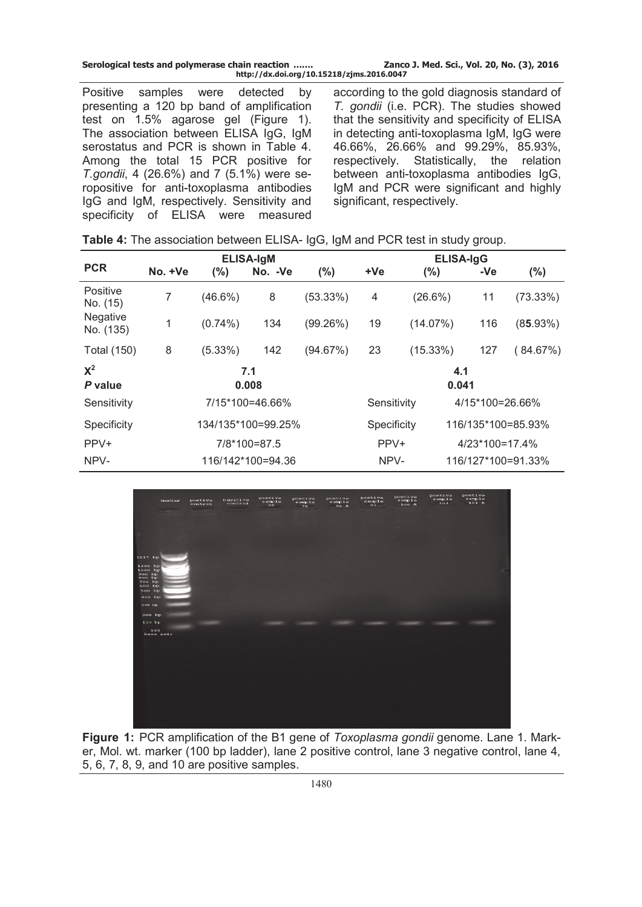| Serological tests and polymerase chain reaction | Zanco J. Med. Sci., Vol. 20, No. (3), 2016 |
|-------------------------------------------------|--------------------------------------------|
| http://dx.doi.org/10.15218/zjms.2016.0047       |                                            |

Positive samples were detected by presenting a 120 bp band of amplification test on 1.5% agarose gel (Figure 1). The association between ELISA IgG, IgM serostatus and PCR is shown in Table 4. Among the total 15 PCR positive for *T.gondii*, 4 (26.6%) and 7 (5.1%) were seropositive for anti-toxoplasma antibodies IgG and IgM, respectively. Sensitivity and specificity of ELISA were measured

according to the gold diagnosis standard of *T. gondii* (i.e. PCR). The studies showed that the sensitivity and specificity of ELISA in detecting anti-toxoplasma IgM, IgG were 46.66%, 26.66% and 99.29%, 85.93%, respectively. Statistically, the relation between anti-toxoplasma antibodies IgG, IgM and PCR were significant and highly significant, respectively.

|                       | <b>ELISA-IgM</b>   |            |                   | <b>ELISA-IgG</b> |              |                  |                    |                    |
|-----------------------|--------------------|------------|-------------------|------------------|--------------|------------------|--------------------|--------------------|
| <b>PCR</b>            | No. +Ve            | $(\% )$    | No. - Ve          | $(\% )$          | +Ve          | $(\%)$           | -Ve                | $(\% )$            |
| Positive<br>No. (15)  | 7                  | $(46.6\%)$ | 8                 | (53.33%)         | 4            | $(26.6\%)$       | 11                 | $(73.33\%)$        |
| Negative<br>No. (135) | 1                  | $(0.74\%)$ | 134               | (99.26%)         | 19           | (14.07%)         | 116                | $(85.93\%)$        |
| <b>Total (150)</b>    | 8                  | (5.33%)    | 142               | (94.67%)         | 23           | $(15.33\%)$      | 127                | (84.67%)           |
| $X^2$<br>P value      | 7.1<br>0.008       |            |                   |                  | 4.1<br>0.041 |                  |                    |                    |
| Sensitivity           | 7/15*100=46.66%    |            |                   | Sensitivity      |              | 4/15*100=26.66%  |                    |                    |
| Specificity           | 134/135*100=99.25% |            |                   | Specificity      |              |                  | 116/135*100=85.93% |                    |
| PPV+                  | 7/8*100=87.5       |            |                   | PPV+             |              | $4/23*100=17.4%$ |                    |                    |
| NPV-                  |                    |            | 116/142*100=94.36 |                  | NPV-         |                  |                    | 116/127*100=91.33% |



**Figure 1:** PCR amplification of the B1 gene of *Toxoplasma gondii* genome. Lane 1. Marker, Mol. wt. marker (100 bp ladder), lane 2 positive control, lane 3 negative control, lane 4, 5, 6, 7, 8, 9, and 10 are positive samples.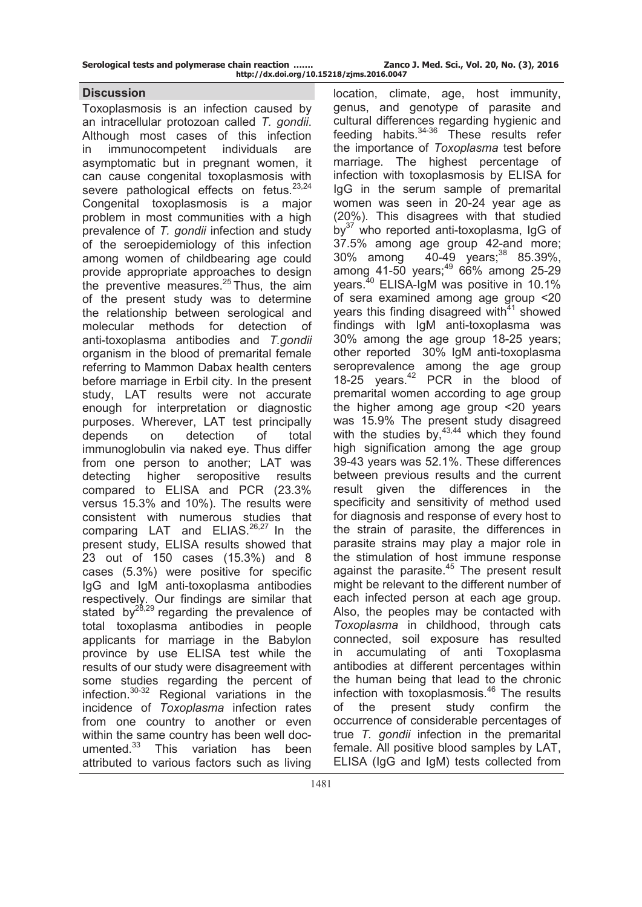| Serological tests and polymerase chain reaction | Zanco J. Med. Sci., Vol. 20, No. (3), 2016 |
|-------------------------------------------------|--------------------------------------------|
| http://dx.doi.org/10.15218/zjms.2016.0047       |                                            |

#### **Discussion**

Toxoplasmosis is an infection caused by an intracellular protozoan called *T. gondii*. Although most cases of this infection in immunocompetent individuals are asymptomatic but in pregnant women, it can cause congenital toxoplasmosis with severe pathological effects on fetus. $23,24$ Congenital toxoplasmosis is a major problem in most communities with a high prevalence of *T. gondii* infection and study of the seroepidemiology of this infection among women of childbearing age could provide appropriate approaches to design the preventive measures. $25$  Thus, the aim of the present study was to determine the relationship between serological and molecular methods for detection of anti-toxoplasma antibodies and *T.gondii*  organism in the blood of premarital female referring to Mammon Dabax health centers before marriage in Erbil city. In the present study, LAT results were not accurate enough for interpretation or diagnostic purposes. Wherever, LAT test principally depends on detection of total immunoglobulin via naked eye. Thus differ from one person to another; LAT was detecting higher seropositive results compared to ELISA and PCR (23.3% versus 15.3% and 10%). The results were consistent with numerous studies that comparing LAT and ELIAS. $26,27$  In the present study, ELISA results showed that 23 out of 150 cases (15.3%) and 8 cases (5.3%) were positive for specific IgG and IgM anti-toxoplasma antibodies respectively. Our findings are similar that stated by $^{28,29}$  regarding the prevalence of total toxoplasma antibodies in people applicants for marriage in the Babylon province by use ELISA test while the results of our study were disagreement with some studies regarding the percent of infection.<sup>30</sup>-<sup>32</sup> Regional variations in the incidence of *Toxoplasma* infection rates from one country to another or even within the same country has been well documented.<sup>33</sup> This variation has been attributed to various factors such as living

location, climate, age, host immunity, genus, and genotype of parasite and cultural differences regarding hygienic and feeding habits.<sup>34</sup>-<sup>36</sup> These results refer the importance of *Toxoplasma* test before marriage. The highest percentage of infection with toxoplasmosis by ELISA for IgG in the serum sample of premarital women was seen in 20-24 year age as (20%). This disagrees with that studied  $bv^{37}$  who reported anti-toxoplasma, IgG of 37.5% among age group 42-and more; 30% among 40-49 years;<sup>38</sup> 85.39%, among 41-50 years;<sup>49</sup> 66% among 25-29 years.<sup>40</sup> ELISA-IgM was positive in 10.1% of sera examined among age group <20 years this finding disagreed with $41$  showed findings with IgM anti-toxoplasma was 30% among the age group 18-25 years; other reported 30% IgM anti-toxoplasma seroprevalence among the age group 18-25 years.<sup>42</sup> PCR in the blood of premarital women according to age group the higher among age group <20 years was 15.9% The present study disagreed with the studies by, $43,44$  which they found high signification among the age group 39-43 years was 52.1%. These differences between previous results and the current result given the differences in the specificity and sensitivity of method used for diagnosis and response of every host to the strain of parasite, the differences in parasite strains may play a major role in the stimulation of host immune response against the parasite.<sup>45</sup> The present result might be relevant to the different number of each infected person at each age group. Also, the peoples may be contacted with *Toxoplasma* in childhood, through cats connected, soil exposure has resulted in accumulating of anti Toxoplasma antibodies at different percentages within the human being that lead to the chronic infection with toxoplasmosis.<sup>46</sup> The results of the present study confirm the occurrence of considerable percentages of true *T. gondii* infection in the premarital female. All positive blood samples by LAT, ELISA (IgG and IgM) tests collected from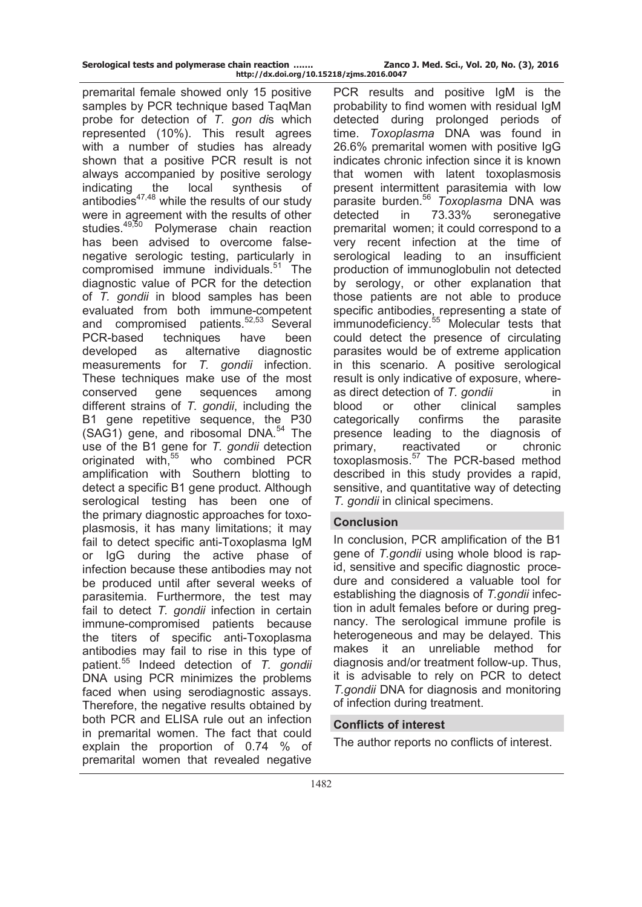premarital female showed only 15 positive samples by PCR technique based TaqMan probe for detection of *T. gon di*s which represented (10%). This result agrees with a number of studies has already shown that a positive PCR result is not always accompanied by positive serology indicating the local synthesis of antibodies<sup>47,48</sup> while the results of our study were in agreement with the results of other studies.<sup>49,50</sup> Polymerase chain reaction has been advised to overcome falsenegative serologic testing, particularly in compromised immune individuals.<sup>51</sup> The diagnostic value of PCR for the detection of *T. gondii* in blood samples has been evaluated from both immune-competent and compromised patients.<sup>52,53</sup> Several PCR-based techniques have been developed as alternative diagnostic measurements for *T. gondii* infection. These techniques make use of the most conserved gene sequences among different strains of *T. gondii*, including the B1 gene repetitive sequence, the P30  $(SAG1)$  gene, and ribosomal DNA.<sup>54</sup> The use of the B1 gene for *T. gondii* detection originated with, $55$  who combined PCR amplification with Southern blotting to detect a specific B1 gene product. Although serological testing has been one of the primary diagnostic approaches for toxoplasmosis, it has many limitations; it may fail to detect specific anti-Toxoplasma IgM or IgG during the active phase of infection because these antibodies may not be produced until after several weeks of parasitemia. Furthermore, the test may fail to detect *T. gondii* infection in certain immune-compromised patients because the titers of specific anti-Toxoplasma antibodies may fail to rise in this type of patient.<sup>55</sup> Indeed detection of *T. gondii* DNA using PCR minimizes the problems faced when using serodiagnostic assays. Therefore, the negative results obtained by both PCR and ELISA rule out an infection in premarital women. The fact that could explain the proportion of 0.74 % of premarital women that revealed negative

PCR results and positive IgM is the probability to find women with residual IgM detected during prolonged periods of time. *Toxoplasma* DNA was found in 26.6% premarital women with positive IgG indicates chronic infection since it is known that women with latent toxoplasmosis present intermittent parasitemia with low parasite burden.<sup>56</sup> *Toxoplasma* DNA was detected in 73.33% seronegative premarital women; it could correspond to a very recent infection at the time of serological leading to an insufficient production of immunoglobulin not detected by serology, or other explanation that those patients are not able to produce specific antibodies, representing a state of immunodeficiency.<sup>55</sup> Molecular tests that could detect the presence of circulating parasites would be of extreme application in this scenario. A positive serological result is only indicative of exposure, whereas direct detection of *T. gondii* in blood or other clinical samples categorically confirms the parasite presence leading to the diagnosis of primary, reactivated or chronic toxoplasmosis.<sup>57</sup> The PCR-based method described in this study provides a rapid, sensitive, and quantitative way of detecting *T. gondii* in clinical specimens.

## **Conclusion**

In conclusion, PCR amplification of the B1 gene of *T.gondii* using whole blood is rapid, sensitive and specific diagnostic procedure and considered a valuable tool for establishing the diagnosis of *T.gondii* infection in adult females before or during pregnancy. The serological immune profile is heterogeneous and may be delayed. This makes it an unreliable method for diagnosis and/or treatment follow-up. Thus, it is advisable to rely on PCR to detect *T.gondii* DNA for diagnosis and monitoring of infection during treatment.

## **Conflicts of interest**

The author reports no conflicts of interest.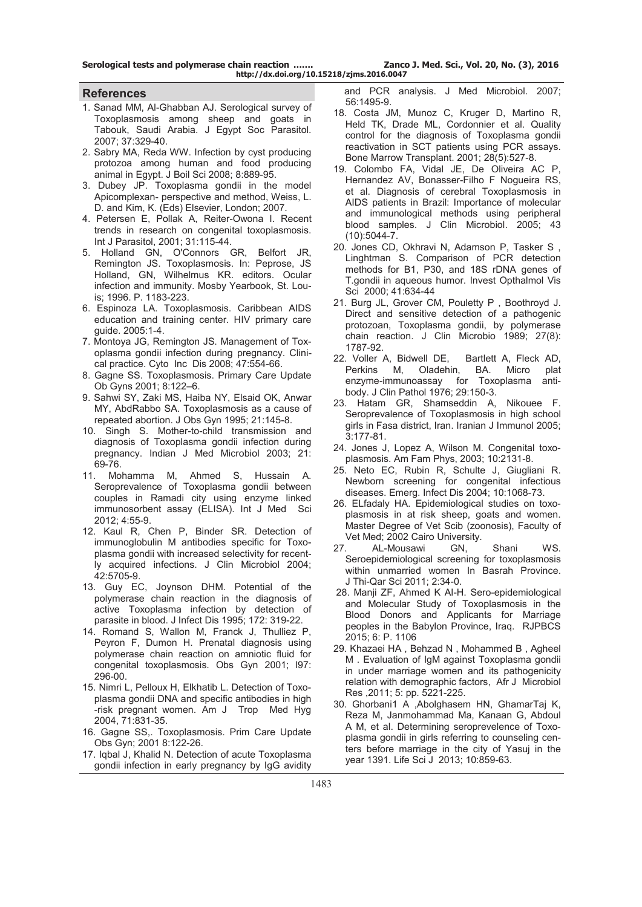**Serological tests and polymerase chain reaction ……. Zanco J. Med. Sci., Vol. 20, No. (3), 2016 http://dx.doi.org/10.15218/zjms.2016.0047**

#### **References**

- 1. Sanad MM, Al-Ghabban AJ. Serological survey of Toxoplasmosis among sheep and goats in Tabouk, Saudi Arabia. J Egypt Soc Parasitol. 2007; 37:329-40.
- 2. Sabry MA, Reda WW. Infection by cyst producing protozoa among human and food producing animal in Egypt. J Boil Sci 2008; 8:889-95.
- 3. Dubey JP. Toxoplasma gondii in the model Apicomplexan- perspective and method, Weiss, L. D. and Kim, K. (Eds) Elsevier, London; 2007.
- 4. Petersen E, Pollak A, Reiter-Owona I. Recent trends in research on congenital toxoplasmosis. Int J Parasitol, 2001; 31:115-44.
- 5. Holland GN, O'Connors GR, Belfort JR, Remington JS. Toxoplasmosis. In: Peprose, JS Holland, GN, Wilhelmus KR. editors. Ocular infection and immunity. Mosby Yearbook, St. Louis; 1996. P. 1183-223.
- 6. Espinoza LA. Toxoplasmosis. Caribbean AIDS education and training center. HIV primary care guide. 2005:1-4.
- 7. Montoya JG, Remington JS. Management of Toxoplasma gondii infection during pregnancy. Clinical practice. Cyto Inc Dis 2008; 47:554-66.
- 8. Gagne SS. Toxoplasmosis. Primary Care Update Ob Gyns 2001; 8:122–6.
- 9. Sahwi SY, Zaki MS, Haiba NY, Elsaid OK, Anwar MY, AbdRabbo SA. Toxoplasmosis as a cause of repeated abortion. J Obs Gyn 1995; 21:145-8.
- 10. Singh S. Mother-to-child transmission and diagnosis of Toxoplasma gondii infection during pregnancy. Indian J Med Microbiol 2003; 21: 69-76.
- 11. Mohamma M, Ahmed S, Hussain A. Seroprevalence of Toxoplasma gondii between couples in Ramadi city using enzyme linked immunosorbent assay (ELISA). Int J Med Sci 2012; 4:55-9.
- 12. Kaul R, Chen P, Binder SR. Detection of immunoglobulin M antibodies specific for Toxoplasma gondii with increased selectivity for recently acquired infections. J Clin Microbiol 2004; 42:5705-9.
- 13. Guy EC, Joynson DHM. Potential of the polymerase chain reaction in the diagnosis of active Toxoplasma infection by detection of parasite in blood. J Infect Dis 1995; 172: 319-22.
- 14. Romand S, Wallon M, Franck J, Thulliez P, Peyron F, Dumon H. Prenatal diagnosis using polymerase chain reaction on amniotic fluid for congenital toxoplasmosis. Obs Gyn 2001; l97: 296-00.
- 15. Nimri L, Pelloux H, Elkhatib L. Detection of Toxoplasma gondii DNA and specific antibodies in high -risk pregnant women. Am J Trop Med Hyg 2004, 71:831-35.
- 16. Gagne SS,. Toxoplasmosis. Prim Care Update Obs Gyn; 2001 8:122-26.
- 17. Iqbal J, Khalid N. Detection of acute Toxoplasma gondii infection in early pregnancy by IgG avidity

 and PCR analysis. J Med Microbiol. 2007; 56:1495-9.

- 18. Costa JM, Munoz C, Kruger D, Martino R, Held TK, Drade ML, Cordonnier et al. Quality control for the diagnosis of Toxoplasma gondii reactivation in SCT patients using PCR assays. Bone Marrow Transplant. 2001; 28(5):527-8.
- 19. Colombo FA, Vidal JE, De Oliveira AC P, Hernandez AV, Bonasser-Filho F Nogueira RS, et al. Diagnosis of cerebral Toxoplasmosis in AIDS patients in Brazil: Importance of molecular and immunological methods using peripheral blood samples. J Clin Microbiol. 2005; 43 (10):5044-7.
- 20. Jones CD, Okhravi N, Adamson P, Tasker S , Linghtman S. Comparison of PCR detection methods for B1, P30, and 18S rDNA genes of T.gondii in aqueous humor. Invest Opthalmol Vis Sci 2000; 41:634-44
- 21. Burg JL, Grover CM, Pouletty P , Boothroyd J. Direct and sensitive detection of a pathogenic protozoan, Toxoplasma gondii, by polymerase chain reaction. J Clin Microbio 1989; 27(8): 1787-92.
- 22. Voller A, Bidwell DE, Bartlett A, Fleck AD, Perkins M, Oladehin, enzyme-immunoassay for Toxoplasma antibody. J Clin Pathol 1976; 29:150-3.
- 23. Hatam GR, Shamseddin A, Nikouee F. Seroprevalence of Toxoplasmosis in high school girls in Fasa district, Iran. Iranian J Immunol 2005; 3:177-81.
- 24. Jones J, Lopez A, Wilson M. Congenital toxoplasmosis. Am Fam Phys, 2003; 10:2131-8.
- 25. Neto EC, Rubin R, Schulte J, Giugliani R. Newborn screening for congenital infectious diseases. Emerg. Infect Dis 2004; 10:1068-73.
- 26. ELfadaly HA. Epidemiological studies on toxoplasmosis in at risk sheep, goats and women. Master Degree of Vet Scib (zoonosis), Faculty of Vet Med; 2002 Cairo University.
- 27. AL-Mousawi GN, Shani WS. Seroepidemiological screening for toxoplasmosis within unmarried women In Basrah Province. J Thi-Qar Sci 2011; 2:34-0.
- 28. Manji ZF, Ahmed K Al-H. Sero-epidemiological and Molecular Study of Toxoplasmosis in the Blood Donors and Applicants for Marriage peoples in the Babylon Province, Iraq. RJPBCS 2015; 6: P. 1106
- 29. Khazaei HA , Behzad N , Mohammed B , Agheel M . Evaluation of IgM against Toxoplasma gondii in under marriage women and its pathogenicity relation with demographic factors, Afr J Microbiol Res ,2011; 5: pp. 5221-225.
- 30. Ghorbani1 A ,Abolghasem HN, GhamarTaj K, Reza M, Janmohammad Ma, Kanaan G, Abdoul A M, et al. Determining seroprevelence of Toxoplasma gondii in girls referring to counseling centers before marriage in the city of Yasuj in the year 1391. Life Sci J 2013; 10:859-63.